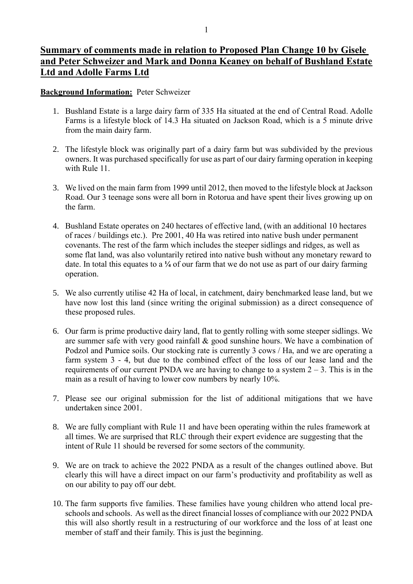## **Summary of comments made in relation to Proposed Plan Change 10 by Gisele and Peter Schweizer and Mark and Donna Keaney on behalf of Bushland Estate Ltd and Adolle Farms Ltd**

## **Background Information:** Peter Schweizer

- 1. Bushland Estate is a large dairy farm of 335 Ha situated at the end of Central Road. Adolle Farms is a lifestyle block of 14.3 Ha situated on Jackson Road, which is a 5 minute drive from the main dairy farm.
- 2. The lifestyle block was originally part of a dairy farm but was subdivided by the previous owners. It was purchased specifically for use as part of our dairy farming operation in keeping with Rule 11.
- 3. We lived on the main farm from 1999 until 2012, then moved to the lifestyle block at Jackson Road. Our 3 teenage sons were all born in Rotorua and have spent their lives growing up on the farm.
- 4. Bushland Estate operates on 240 hectares of effective land, (with an additional 10 hectares of races / buildings etc.). Pre 2001, 40 Ha was retired into native bush under permanent covenants. The rest of the farm which includes the steeper sidlings and ridges, as well as some flat land, was also voluntarily retired into native bush without any monetary reward to date. In total this equates to a **¼** of our farm that we do not use as part of our dairy farming operation.
- 5. We also currently utilise 42 Ha of local, in catchment, dairy benchmarked lease land, but we have now lost this land (since writing the original submission) as a direct consequence of these proposed rules.
- 6. Our farm is prime productive dairy land, flat to gently rolling with some steeper sidlings. We are summer safe with very good rainfall & good sunshine hours. We have a combination of Podzol and Pumice soils. Our stocking rate is currently 3 cows / Ha, and we are operating a farm system 3 - 4, but due to the combined effect of the loss of our lease land and the requirements of our current PNDA we are having to change to a system  $2 - 3$ . This is in the main as a result of having to lower cow numbers by nearly 10%.
- 7. Please see our original submission for the list of additional mitigations that we have undertaken since 2001.
- 8. We are fully compliant with Rule 11 and have been operating within the rules framework at all times. We are surprised that RLC through their expert evidence are suggesting that the intent of Rule 11 should be reversed for some sectors of the community.
- 9. We are on track to achieve the 2022 PNDA as a result of the changes outlined above. But clearly this will have a direct impact on our farm's productivity and profitability as well as on our ability to pay off our debt.
- 10. The farm supports five families. These families have young children who attend local preschools and schools. As well as the direct financial losses of compliance with our 2022 PNDA this will also shortly result in a restructuring of our workforce and the loss of at least one member of staff and their family. This is just the beginning.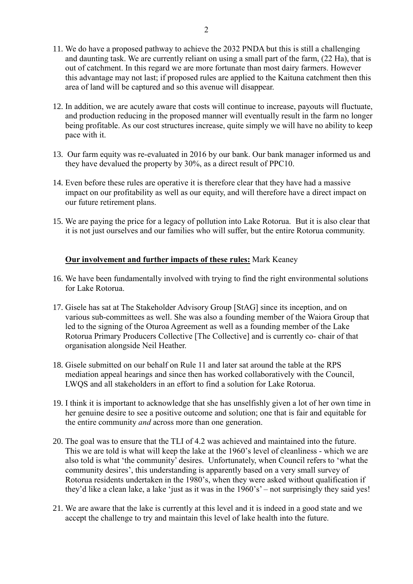- 11. We do have a proposed pathway to achieve the 2032 PNDA but this is still a challenging and daunting task. We are currently reliant on using a small part of the farm, (22 Ha), that is out of catchment. In this regard we are more fortunate than most dairy farmers. However this advantage may not last; if proposed rules are applied to the Kaituna catchment then this area of land will be captured and so this avenue will disappear.
- 12. In addition, we are acutely aware that costs will continue to increase, payouts will fluctuate, and production reducing in the proposed manner will eventually result in the farm no longer being profitable. As our cost structures increase, quite simply we will have no ability to keep pace with it.
- 13. Our farm equity was re-evaluated in 2016 by our bank. Our bank manager informed us and they have devalued the property by 30%, as a direct result of PPC10.
- 14. Even before these rules are operative it is therefore clear that they have had a massive impact on our profitability as well as our equity, and will therefore have a direct impact on our future retirement plans.
- 15. We are paying the price for a legacy of pollution into Lake Rotorua. But it is also clear that it is not just ourselves and our families who will suffer, but the entire Rotorua community.

## **Our involvement and further impacts of these rules:** Mark Keaney

- 16. We have been fundamentally involved with trying to find the right environmental solutions for Lake Rotorua.
- 17. Gisele has sat at The Stakeholder Advisory Group [StAG] since its inception, and on various sub-committees as well. She was also a founding member of the Waiora Group that led to the signing of the Oturoa Agreement as well as a founding member of the Lake Rotorua Primary Producers Collective [The Collective] and is currently co- chair of that organisation alongside Neil Heather.
- 18. Gisele submitted on our behalf on Rule 11 and later sat around the table at the RPS mediation appeal hearings and since then has worked collaboratively with the Council, LWQS and all stakeholders in an effort to find a solution for Lake Rotorua.
- 19. I think it is important to acknowledge that she has unselfishly given a lot of her own time in her genuine desire to see a positive outcome and solution; one that is fair and equitable for the entire community *and* across more than one generation.
- 20. The goal was to ensure that the TLI of 4.2 was achieved and maintained into the future. This we are told is what will keep the lake at the 1960's level of cleanliness - which we are also told is what 'the community' desires. Unfortunately, when Council refers to 'what the community desires', this understanding is apparently based on a very small survey of Rotorua residents undertaken in the 1980's, when they were asked without qualification if they'd like a clean lake, a lake 'just as it was in the 1960's' – not surprisingly they said yes!
- 21. We are aware that the lake is currently at this level and it is indeed in a good state and we accept the challenge to try and maintain this level of lake health into the future.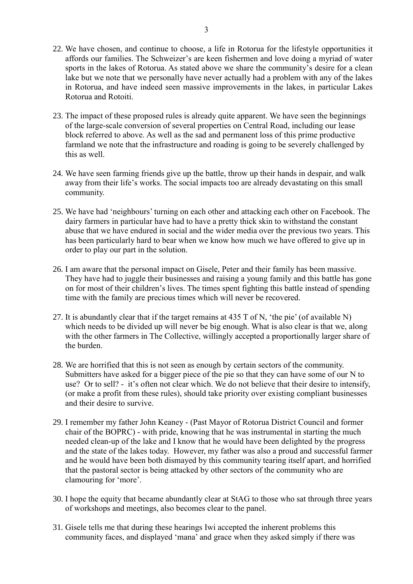- 22. We have chosen, and continue to choose, a life in Rotorua for the lifestyle opportunities it affords our families. The Schweizer's are keen fishermen and love doing a myriad of water sports in the lakes of Rotorua. As stated above we share the community's desire for a clean lake but we note that we personally have never actually had a problem with any of the lakes in Rotorua, and have indeed seen massive improvements in the lakes, in particular Lakes Rotorua and Rotoiti.
- 23. The impact of these proposed rules is already quite apparent. We have seen the beginnings of the large-scale conversion of several properties on Central Road, including our lease block referred to above. As well as the sad and permanent loss of this prime productive farmland we note that the infrastructure and roading is going to be severely challenged by this as well.
- 24. We have seen farming friends give up the battle, throw up their hands in despair, and walk away from their life's works. The social impacts too are already devastating on this small community.
- 25. We have had 'neighbours' turning on each other and attacking each other on Facebook. The dairy farmers in particular have had to have a pretty thick skin to withstand the constant abuse that we have endured in social and the wider media over the previous two years. This has been particularly hard to bear when we know how much we have offered to give up in order to play our part in the solution.
- 26. I am aware that the personal impact on Gisele, Peter and their family has been massive. They have had to juggle their businesses and raising a young family and this battle has gone on for most of their children's lives. The times spent fighting this battle instead of spending time with the family are precious times which will never be recovered.
- 27. It is abundantly clear that if the target remains at  $435$  T of N, 'the pie' (of available N) which needs to be divided up will never be big enough. What is also clear is that we, along with the other farmers in The Collective, willingly accepted a proportionally larger share of the burden.
- 28. We are horrified that this is not seen as enough by certain sectors of the community. Submitters have asked for a bigger piece of the pie so that they can have some of our N to use? Or to sell? - it's often not clear which. We do not believe that their desire to intensify, (or make a profit from these rules), should take priority over existing compliant businesses and their desire to survive.
- 29. I remember my father John Keaney (Past Mayor of Rotorua District Council and former chair of the BOPRC) - with pride, knowing that he was instrumental in starting the much needed clean-up of the lake and I know that he would have been delighted by the progress and the state of the lakes today. However, my father was also a proud and successful farmer and he would have been both dismayed by this community tearing itself apart, and horrified that the pastoral sector is being attacked by other sectors of the community who are clamouring for 'more'.
- 30. I hope the equity that became abundantly clear at StAG to those who sat through three years of workshops and meetings, also becomes clear to the panel.
- 31. Gisele tells me that during these hearings Iwi accepted the inherent problems this community faces, and displayed 'mana' and grace when they asked simply if there was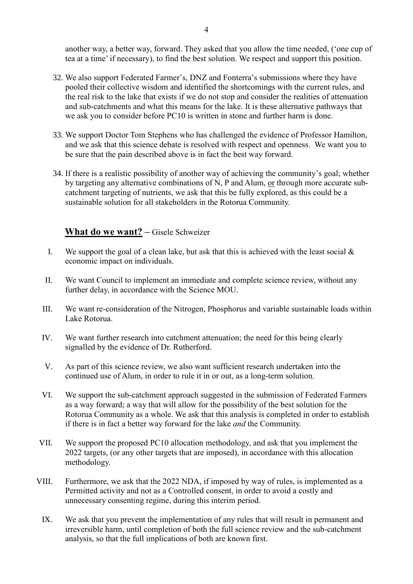another way, a better way, forward. They asked that you allow the time needed, ('one cup of tea at a time' if necessary), to find the best solution. We respect and support this position.

- 32. We also support Federated Farmer's, DNZ and Fonterra's submissions where they have pooled their collective wisdom and identified the shortcomings with the current rules, and the real risk to the lake that exists if we do not stop and consider the realities of attenuation and sub-catchments and what this means for the lake. It is these alternative pathways that we ask you to consider before PC10 is written in stone and further harm is done.
- 33. We support Doctor Tom Stephens who has challenged the evidence of Professor Hamilton, and we ask that this science debate is resolved with respect and openness. We want you to be sure that the pain described above is in fact the best way forward.
- 34. If there is a realistic possibility of another way of achieving the community's goal; whether by targeting any alternative combinations of N, P and Alum, or through more accurate subcatchment targeting of nutrients, we ask that this be fully explored, as this could be a sustainable solution for all stakeholders in the Rotorua Community.

## **What do we want? –** Gisele Schweizer

- I. We support the goal of a clean lake, but ask that this is achieved with the least social  $\&$ economic impact on individuals.
- II. We want Council to implement an immediate and complete science review, without any further delay, in accordance with the Science MOU.
- III. We want re-consideration of the Nitrogen, Phosphorus and variable sustainable loads within Lake Rotorua.
- IV. We want further research into catchment attenuation; the need for this being clearly signalled by the evidence of Dr. Rutherford.
- V. As part of this science review, we also want sufficient research undertaken into the continued use of Alum, in order to rule it in or out, as a long-term solution.
- VI. We support the sub-catchment approach suggested in the submission of Federated Farmers as a way forward; a way that will allow for the possibility of the best solution for the Rotorua Community as a whole. We ask that this analysis is completed in order to establish if there is in fact a better way forward for the lake *and* the Community.
- VII. We support the proposed PC10 allocation methodology, and ask that you implement the 2022 targets, (or any other targets that are imposed), in accordance with this allocation methodology.
- VIII. Furthermore, we ask that the 2022 NDA, if imposed by way of rules, is implemented as a Permitted activity and not as a Controlled consent, in order to avoid a costly and unnecessary consenting regime, during this interim period.
	- IX. We ask that you prevent the implementation of any rules that will result in permanent and irreversible harm, until completion of both the full science review and the sub-catchment analysis, so that the full implications of both are known first.